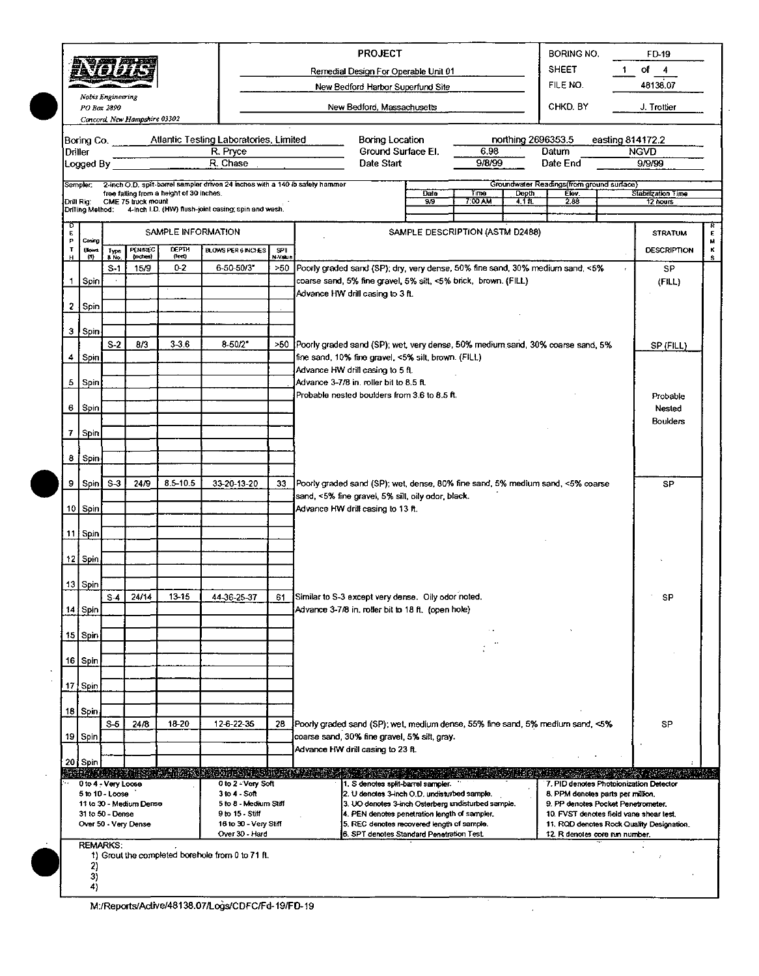| 令恶之乎<br>78 TV 77<br>Nobis Engineering<br>PO Box 2890<br>Concord, New Hampshire 03302 |                                                                                                                                                                                                                                                                               |                        |                                       |                                          |                                                                                                                                                            |                | <b>PROJECT</b><br><b>BORING NO.</b><br>FD-19<br><b>SHEET</b><br>of a<br>1.<br>4<br>Remedial Design For Operable Unit 01<br>FILE NO.<br>New Bedford Harbor Superfund Site<br>CHKD. BY<br>New Bedford, Massachusetts                      |                            |                                 |                             |                                                                          |                                                                                                                                                                                                            | 48138.07<br>J. Trottier                                         |                    |  |  |  |
|--------------------------------------------------------------------------------------|-------------------------------------------------------------------------------------------------------------------------------------------------------------------------------------------------------------------------------------------------------------------------------|------------------------|---------------------------------------|------------------------------------------|------------------------------------------------------------------------------------------------------------------------------------------------------------|----------------|-----------------------------------------------------------------------------------------------------------------------------------------------------------------------------------------------------------------------------------------|----------------------------|---------------------------------|-----------------------------|--------------------------------------------------------------------------|------------------------------------------------------------------------------------------------------------------------------------------------------------------------------------------------------------|-----------------------------------------------------------------|--------------------|--|--|--|
|                                                                                      | Driller<br>Logged By<br>Sampler:                                                                                                                                                                                                                                              |                        |                                       | free failing from a height of 30 inches. | Boring Co. Atlantic Testing Laboratories, Limited<br>R. Pryce<br>R. Chase<br>2-inch O.D. split-barrel sampler driven 24 inches with a 140 lb safety hammer |                | Boring Location<br>Date Start                                                                                                                                                                                                           | Ground Surface El.<br>Date | 6.98<br>9/8/99<br>Time          | northing 2696353.5<br>Depth | Datum<br>Date End<br>Groundwater Readings (from ground surface)<br>Elev. |                                                                                                                                                                                                            | easting 814172.2<br><b>NGVD</b><br>9/9/99<br>Stabilization Time |                    |  |  |  |
|                                                                                      | Drill Rig.<br>Drilling Method:                                                                                                                                                                                                                                                |                        | CME 75 truck mount                    |                                          | 4-inch I.D. (HW) flush-joint casing; spin and wash.                                                                                                        |                |                                                                                                                                                                                                                                         | 99                         | 7:00 AM                         | $4.1$ ft.                   | 2.88                                                                     |                                                                                                                                                                                                            | 12 hours                                                        |                    |  |  |  |
| E<br>P                                                                               | Casing                                                                                                                                                                                                                                                                        |                        |                                       | SAMPLE INFORMATION                       |                                                                                                                                                            |                |                                                                                                                                                                                                                                         |                            | SAMPLE DESCRIPTION (ASTM D2488) |                             |                                                                          |                                                                                                                                                                                                            | <b>STRATUM</b>                                                  | $\frac{R}{E}$<br>M |  |  |  |
| т<br>н                                                                               | Blows<br>m                                                                                                                                                                                                                                                                    | Type<br>8 No.<br>$S-1$ | PENAREC<br>${(\text{nodes})}$<br>15/9 | <b>DEPTH</b><br>(led)<br>02              | BLOWS PER 6 INCHES<br>$6 - 50 - 50/3$                                                                                                                      | SPT.<br>N-Valu | >50 Poorly graded sand (SP); dry, very dense, 50% fine sand, 30% medium sand, <5%                                                                                                                                                       |                            |                                 |                             | <b>DESCRIPTION</b><br>SP                                                 | κ<br>s.                                                                                                                                                                                                    |                                                                 |                    |  |  |  |
| 1.                                                                                   | Spin                                                                                                                                                                                                                                                                          |                        |                                       |                                          |                                                                                                                                                            |                | coarse sand, 5% fine gravel, 5% silt, <5% brick, brown. (FILL)                                                                                                                                                                          |                            |                                 |                             |                                                                          |                                                                                                                                                                                                            | (FILL)                                                          |                    |  |  |  |
|                                                                                      | 2 Spin                                                                                                                                                                                                                                                                        |                        |                                       |                                          |                                                                                                                                                            |                | Advance HW drill casing to 3 ft.                                                                                                                                                                                                        |                            |                                 |                             |                                                                          |                                                                                                                                                                                                            |                                                                 |                    |  |  |  |
|                                                                                      | 3 Spin                                                                                                                                                                                                                                                                        |                        |                                       |                                          |                                                                                                                                                            |                |                                                                                                                                                                                                                                         |                            |                                 |                             |                                                                          |                                                                                                                                                                                                            |                                                                 |                    |  |  |  |
|                                                                                      | 4 Spin                                                                                                                                                                                                                                                                        | S <sub>2</sub>         | B/3                                   | $3 - 36$                                 | $8 - 50/2"$                                                                                                                                                |                | >50 Poorly graded sand (SP); wet, very dense, 50% medium sand, 30% coarse sand, 5%<br>fine sand, 10% fine gravel, <5% silt, brown. (FILL)                                                                                               |                            |                                 |                             |                                                                          |                                                                                                                                                                                                            | SP (FILL)                                                       |                    |  |  |  |
|                                                                                      | 5 Spin                                                                                                                                                                                                                                                                        |                        |                                       |                                          |                                                                                                                                                            |                | Advance HW drill casing to 5 ft.<br>Advance 3-7/8 in. roller bit to 8.5 ft.                                                                                                                                                             |                            |                                 |                             |                                                                          |                                                                                                                                                                                                            |                                                                 |                    |  |  |  |
|                                                                                      | 6 Spin                                                                                                                                                                                                                                                                        |                        |                                       |                                          |                                                                                                                                                            |                | Probable nested boulders from 3.6 to 8.5 ft.                                                                                                                                                                                            |                            |                                 |                             |                                                                          |                                                                                                                                                                                                            | Probable<br>Nested                                              |                    |  |  |  |
|                                                                                      | 7 Spin                                                                                                                                                                                                                                                                        |                        |                                       |                                          |                                                                                                                                                            |                |                                                                                                                                                                                                                                         |                            |                                 |                             |                                                                          |                                                                                                                                                                                                            | <b>Boulders</b>                                                 |                    |  |  |  |
|                                                                                      | 8   Spin                                                                                                                                                                                                                                                                      |                        |                                       |                                          |                                                                                                                                                            |                |                                                                                                                                                                                                                                         |                            |                                 |                             |                                                                          |                                                                                                                                                                                                            |                                                                 |                    |  |  |  |
|                                                                                      | 9 Spin                                                                                                                                                                                                                                                                        | $S-3$                  | 24/9                                  | $8.5 - 10.5$                             | 33-20-13-20                                                                                                                                                | 33             | Poorly graded sand (SP); wet, dense, 80% fine sand, 5% medium sand, <5% coarse                                                                                                                                                          |                            |                                 |                             |                                                                          |                                                                                                                                                                                                            | SP                                                              |                    |  |  |  |
|                                                                                      | 10 Spin                                                                                                                                                                                                                                                                       |                        |                                       |                                          |                                                                                                                                                            |                | sand, <5% fine gravel, 5% silt, oily odor, black.<br>Advance HW drill casing to 13 ft.                                                                                                                                                  |                            |                                 |                             |                                                                          |                                                                                                                                                                                                            |                                                                 |                    |  |  |  |
|                                                                                      | 11 Spin                                                                                                                                                                                                                                                                       |                        |                                       |                                          |                                                                                                                                                            |                |                                                                                                                                                                                                                                         |                            |                                 |                             |                                                                          |                                                                                                                                                                                                            |                                                                 |                    |  |  |  |
|                                                                                      | 12 Spin                                                                                                                                                                                                                                                                       |                        |                                       |                                          |                                                                                                                                                            |                |                                                                                                                                                                                                                                         |                            |                                 |                             |                                                                          |                                                                                                                                                                                                            |                                                                 |                    |  |  |  |
|                                                                                      | 13 Spin                                                                                                                                                                                                                                                                       | $S-4$                  | 24/14                                 | $13 - 15$                                |                                                                                                                                                            | 61             | Similar to S-3 except very dense. Oily odor noted.                                                                                                                                                                                      |                            |                                 |                             |                                                                          |                                                                                                                                                                                                            |                                                                 |                    |  |  |  |
|                                                                                      | 14 Spin                                                                                                                                                                                                                                                                       |                        |                                       |                                          | 44-36-25-37                                                                                                                                                |                | Advance 3-7/8 in. roller bit to 18 ft. (open hole)                                                                                                                                                                                      |                            |                                 |                             |                                                                          |                                                                                                                                                                                                            | SP                                                              |                    |  |  |  |
|                                                                                      | 15   Spin                                                                                                                                                                                                                                                                     |                        |                                       |                                          |                                                                                                                                                            |                |                                                                                                                                                                                                                                         |                            |                                 |                             |                                                                          |                                                                                                                                                                                                            |                                                                 |                    |  |  |  |
|                                                                                      | 16 Spin                                                                                                                                                                                                                                                                       |                        |                                       |                                          |                                                                                                                                                            |                |                                                                                                                                                                                                                                         |                            |                                 |                             |                                                                          |                                                                                                                                                                                                            |                                                                 |                    |  |  |  |
|                                                                                      | 17 Spin                                                                                                                                                                                                                                                                       |                        |                                       |                                          |                                                                                                                                                            |                |                                                                                                                                                                                                                                         |                            |                                 |                             |                                                                          |                                                                                                                                                                                                            |                                                                 |                    |  |  |  |
|                                                                                      | 18 Spin                                                                                                                                                                                                                                                                       | $S-5$                  | 24/8                                  | 18-20                                    | 12-6-22-35                                                                                                                                                 | 28             | Poorly graded sand (SP); wet, medium dense, 55% fine sand, 5% medium sand, <5%                                                                                                                                                          |                            |                                 |                             |                                                                          |                                                                                                                                                                                                            | SP                                                              |                    |  |  |  |
|                                                                                      | 19 Spin                                                                                                                                                                                                                                                                       |                        |                                       |                                          |                                                                                                                                                            |                | coarse sand, 30% fine gravel, 5% silt, gray.<br>Advance HW drill casing to 23 ft.                                                                                                                                                       |                            |                                 |                             |                                                                          |                                                                                                                                                                                                            |                                                                 |                    |  |  |  |
|                                                                                      | 20 Spin<br>ISBN 1889-00-00-00-00-00-00-00-00-0<br>0 to 2 Very Soft<br>0 to 4 - Very Loose<br>5 to 10 - Loose<br>$3$ to $4 -$ Soft<br>11 to 30 - Medium Dense<br>5 to 8 - Medium Stiff<br>31 to 50 - Dense<br>9 to 15 - Stiff<br>Over 50 - Very Dense<br>16 to 30 - Very Stiff |                        |                                       |                                          |                                                                                                                                                            |                | 1. S denotes split-barrel sampler.<br>2. U denotes 3-inch O.D. undisturbed sample.<br>3. UO denotes 3-inch Osterberg undisturbed sample.<br>4. PEN denotes penetration length of sampler.<br>5. REC denotes recovered length of sample. |                            |                                 |                             |                                                                          | 7. PID denotes Photoionization Detector<br>8. PPM denotes parts per million.<br>9. PP denotes Pocket Penetrometer.<br>10. FVST denotes field vane shear test.<br>11. RQD denotes Rock Quality Designation. |                                                                 |                    |  |  |  |
|                                                                                      | Over 30 - Hard<br>6. SPT denotes Standard Penetration Test.<br>12. R denotes core run number.<br><b>REMARKS:</b><br>1) Grout the completed borehole from 0 to 71 ft.<br>2)<br>3)<br>4)                                                                                        |                        |                                       |                                          |                                                                                                                                                            |                |                                                                                                                                                                                                                                         |                            |                                 |                             |                                                                          |                                                                                                                                                                                                            |                                                                 |                    |  |  |  |

 $\hat{L}$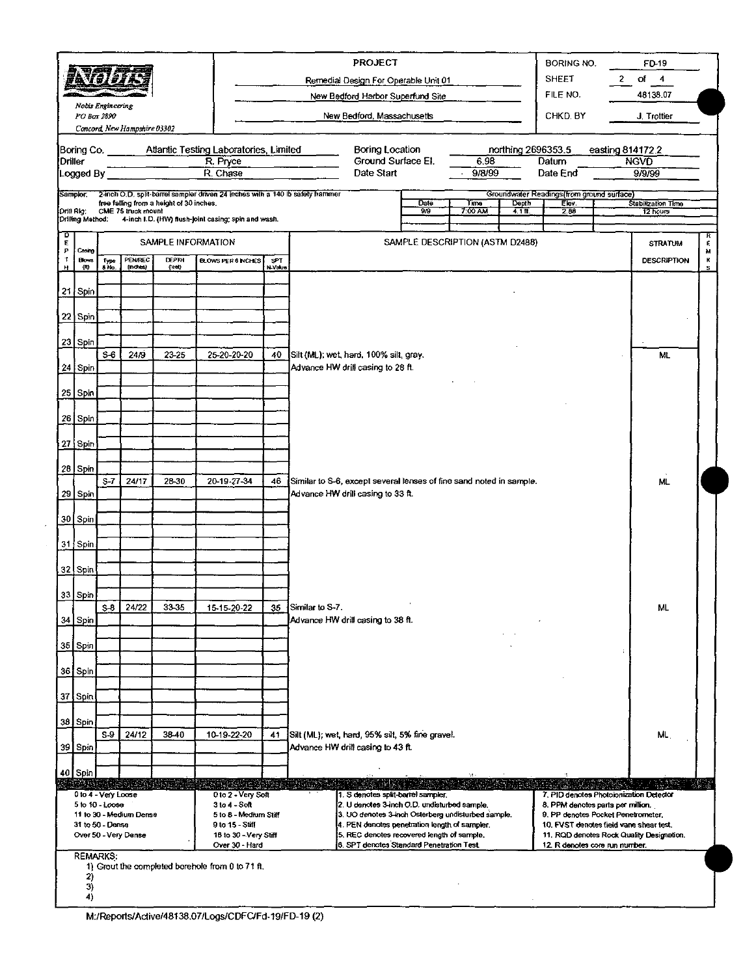|                  |                  | 可興學                              |                              |                                          |                                                                               |                                             | <b>PROJECT</b>                                                                                     |                                 |                   |                    | BORING NO.                                                              |  | FD 19                                     |        |
|------------------|------------------|----------------------------------|------------------------------|------------------------------------------|-------------------------------------------------------------------------------|---------------------------------------------|----------------------------------------------------------------------------------------------------|---------------------------------|-------------------|--------------------|-------------------------------------------------------------------------|--|-------------------------------------------|--------|
|                  |                  | 夏风 【灵!灵!】                        |                              |                                          |                                                                               |                                             | Remedial Design For Operable Unit 01                                                               |                                 |                   |                    | <b>SHEET</b>                                                            |  | $2$ of 4                                  |        |
|                  |                  |                                  |                              |                                          |                                                                               |                                             | New Bedford Harbor Superfund Site                                                                  |                                 |                   |                    | FILE NO.                                                                |  | 48138.07                                  |        |
|                  |                  | Noois Engineering<br>PO Box 2890 |                              |                                          |                                                                               |                                             | New Bedford, Massachusetts                                                                         |                                 |                   |                    | CHKD, BY                                                                |  | J. Trottier                               |        |
|                  |                  |                                  | Concord, New Hampshire 03302 |                                          |                                                                               |                                             |                                                                                                    |                                 |                   |                    |                                                                         |  |                                           |        |
|                  |                  | Boring Co.                       |                              |                                          | Atlantic Testing Laboratories, Limited                                        |                                             | Boring Location                                                                                    |                                 |                   | northing 2696353.5 |                                                                         |  | easting 814172.2                          |        |
| Driller          | Logged By        |                                  |                              |                                          | R. Pryce<br>R. Chase                                                          |                                             | Ground Surface El.<br>Date Start                                                                   |                                 | 6.98<br>9/8/99    |                    | Datum<br>Date End                                                       |  | <b>NGVD</b><br>9/9/99                     |        |
|                  |                  |                                  |                              |                                          |                                                                               |                                             |                                                                                                    |                                 |                   |                    |                                                                         |  |                                           |        |
| Sampler:         |                  |                                  |                              | free falling from a height of 30 inches. | 2-inch O.D. split-barrel sampler driven 24 inches with a 140 lb safety hammer |                                             |                                                                                                    | Date                            | Time              | Depth              | Groundwater Readings (from ground surface)<br>Elev.                     |  | Stabilization Time                        |        |
| Drill Rig:       |                  | Drilling Method:                 | CME 75 truck mount           |                                          | 4-inch I.D. (HW) flush-joint casing; spin and wash.                           |                                             |                                                                                                    | $90^{\circ}$                    | $7:00 \text{ AU}$ | $41$ ft            | 2.86                                                                    |  | 12 hours                                  |        |
| D<br>E           |                  |                                  |                              | SAMPLE INFORMATION                       |                                                                               |                                             |                                                                                                    | SAMPLE DESCRIPTION (ASTM D2488) |                   |                    |                                                                         |  |                                           | £,     |
| P<br>$\mathbf T$ | Cesag            |                                  |                              | <b>DEPTH</b>                             |                                                                               |                                             |                                                                                                    |                                 |                   |                    |                                                                         |  | <b>STRATUM</b>                            | м      |
| н                | <b>Bows</b><br>m | Type<br>8 No.                    | PENREC<br>(ndets)            | (leet)                                   |                                                                               | <b>BLOWS PER 6 INCHES</b><br>SPT<br>N Value |                                                                                                    |                                 |                   |                    |                                                                         |  | <b>DESCRIPTION</b>                        | к<br>s |
|                  | 21 Spin          |                                  |                              |                                          |                                                                               |                                             |                                                                                                    |                                 |                   |                    |                                                                         |  |                                           |        |
|                  |                  |                                  |                              |                                          |                                                                               |                                             |                                                                                                    |                                 |                   |                    |                                                                         |  |                                           |        |
|                  | 22 Spin          |                                  |                              |                                          |                                                                               |                                             |                                                                                                    |                                 |                   |                    |                                                                         |  |                                           |        |
|                  | 23 Spin          |                                  |                              |                                          |                                                                               |                                             |                                                                                                    |                                 |                   |                    |                                                                         |  |                                           |        |
|                  |                  | $S-6$                            | 24/9                         | 23-25                                    | 25-20-20-20                                                                   | 40                                          | Silt (ML); wet, hard, 100% silt, gray.                                                             |                                 |                   |                    |                                                                         |  | ML                                        |        |
|                  | 24 Spin          |                                  |                              |                                          |                                                                               |                                             | Advance HW drill casing to 28 ft.                                                                  |                                 |                   |                    |                                                                         |  |                                           |        |
|                  |                  |                                  |                              |                                          |                                                                               |                                             |                                                                                                    |                                 |                   |                    |                                                                         |  |                                           |        |
|                  | 25 Spin          |                                  |                              |                                          |                                                                               |                                             |                                                                                                    |                                 |                   |                    |                                                                         |  |                                           |        |
|                  | $26$ Spin        |                                  |                              |                                          |                                                                               |                                             |                                                                                                    |                                 |                   |                    |                                                                         |  |                                           |        |
|                  |                  |                                  |                              |                                          |                                                                               |                                             |                                                                                                    |                                 |                   |                    |                                                                         |  |                                           |        |
|                  | ⊦27   Spin '     |                                  |                              |                                          |                                                                               |                                             |                                                                                                    |                                 |                   |                    |                                                                         |  |                                           |        |
|                  | 28 Spin          |                                  |                              |                                          |                                                                               |                                             |                                                                                                    |                                 |                   |                    |                                                                         |  |                                           |        |
|                  |                  | $S-7$                            | 24/17                        | 28-30                                    | 20-19-27-34                                                                   | 46                                          | Similar to S-6, except several lenses of fine sand noted in sample.                                |                                 |                   |                    |                                                                         |  | ML.                                       |        |
|                  | 29 Spin          |                                  |                              |                                          |                                                                               |                                             | Advance HW drill casing to 33 ft.                                                                  |                                 |                   |                    |                                                                         |  |                                           |        |
|                  | 30 Spin          |                                  |                              |                                          |                                                                               |                                             |                                                                                                    |                                 |                   |                    |                                                                         |  |                                           |        |
|                  |                  |                                  |                              |                                          |                                                                               |                                             |                                                                                                    |                                 |                   |                    |                                                                         |  |                                           |        |
|                  | $31$ Spin        |                                  |                              |                                          |                                                                               |                                             |                                                                                                    |                                 |                   |                    |                                                                         |  |                                           |        |
|                  | 32 Spin          |                                  |                              |                                          |                                                                               |                                             |                                                                                                    |                                 |                   |                    |                                                                         |  |                                           |        |
|                  |                  |                                  |                              |                                          |                                                                               |                                             |                                                                                                    |                                 |                   |                    |                                                                         |  |                                           |        |
|                  | 33 Spin          | $S-8$ 1                          | 24/22                        | 33-35                                    | 15-15-20-22                                                                   | 35 <sub>1</sub>                             | Similar to S-7.                                                                                    |                                 |                   |                    |                                                                         |  | ML.                                       |        |
|                  | 34 Spin          |                                  |                              |                                          |                                                                               |                                             | Advance HW drill casing to 38 ft.                                                                  |                                 |                   |                    |                                                                         |  |                                           |        |
|                  | 35 Spin          |                                  |                              |                                          |                                                                               |                                             |                                                                                                    |                                 |                   |                    |                                                                         |  |                                           |        |
|                  |                  |                                  |                              |                                          |                                                                               |                                             |                                                                                                    |                                 |                   |                    |                                                                         |  |                                           |        |
|                  | 36 Spin          |                                  |                              |                                          |                                                                               |                                             |                                                                                                    |                                 |                   |                    |                                                                         |  |                                           |        |
|                  | 37 Spin          |                                  |                              |                                          |                                                                               |                                             |                                                                                                    |                                 |                   |                    |                                                                         |  |                                           |        |
|                  |                  |                                  |                              |                                          |                                                                               |                                             |                                                                                                    |                                 |                   |                    |                                                                         |  |                                           |        |
|                  | 38 Spin          |                                  |                              |                                          |                                                                               |                                             |                                                                                                    |                                 |                   |                    |                                                                         |  |                                           |        |
|                  |                  | $S-9$                            | 24/12                        | 38-40                                    | 10-19-22-20                                                                   | 41                                          | Silt (ML); wet, hard, 95% silt, 5% fine gravel.                                                    |                                 |                   |                    |                                                                         |  | ML                                        |        |
|                  | 39 Spin          |                                  |                              |                                          |                                                                               |                                             | Advance HW drill casing to 43 ft.                                                                  |                                 |                   |                    |                                                                         |  |                                           |        |
|                  | 40 Spin          |                                  |                              |                                          |                                                                               |                                             |                                                                                                    |                                 |                   |                    |                                                                         |  |                                           |        |
|                  |                  | 0 to 4 - Very Loose              |                              | <u> A) Marthe</u>                        | [16] 5(41) : X 3 : 15 (51) 50 ;<br>0 to 2 - Very Soft                         |                                             | 1. S denotes split-barrel sampler.                                                                 |                                 |                   |                    | 7. PID denotes Photoionization Detector                                 |  |                                           |        |
|                  |                  | 5 to 10 - Loose                  | 11 to 30 - Medium Dense      |                                          | 3 to 4 - Soft<br>5 to 8 - Medium Stiff                                        |                                             | 2. U denotes 3-inch O.D. undisturbed sample.<br>3. UO denotes 3-inch Osterberg undisturbed sample. |                                 |                   |                    | 8. PPM denotes parts per million.<br>9. PP denotes Pocket Penetrometer. |  |                                           |        |
|                  |                  | 31 to 50 - Dense                 |                              |                                          | 9 to 15 - Stiff                                                               |                                             | 4. PEN denotes penetration length of sampler.                                                      |                                 |                   |                    | 10. FVST denotes field vane shear test.                                 |  |                                           |        |
|                  |                  |                                  | Over 50 - Very Dense         |                                          | 16 to 30 - Very Stiff                                                         |                                             | 5. REC denotes recovered length of sample.                                                         |                                 |                   |                    |                                                                         |  | 11. RQD denotes Rock Quality Designation. |        |
|                  |                  |                                  |                              |                                          |                                                                               |                                             | 6. SPT denotes Standard Penetration Test                                                           |                                 |                   |                    |                                                                         |  |                                           |        |
|                  |                  | <b>REMARKS:</b>                  |                              |                                          | Over 30 - Hard                                                                |                                             |                                                                                                    |                                 |                   |                    | 12. R denotes core run number.                                          |  |                                           |        |
|                  | 2)<br>3)         |                                  |                              |                                          | 1) Grout the completed borehole from 0 to 71 ft.                              |                                             |                                                                                                    |                                 |                   |                    |                                                                         |  |                                           |        |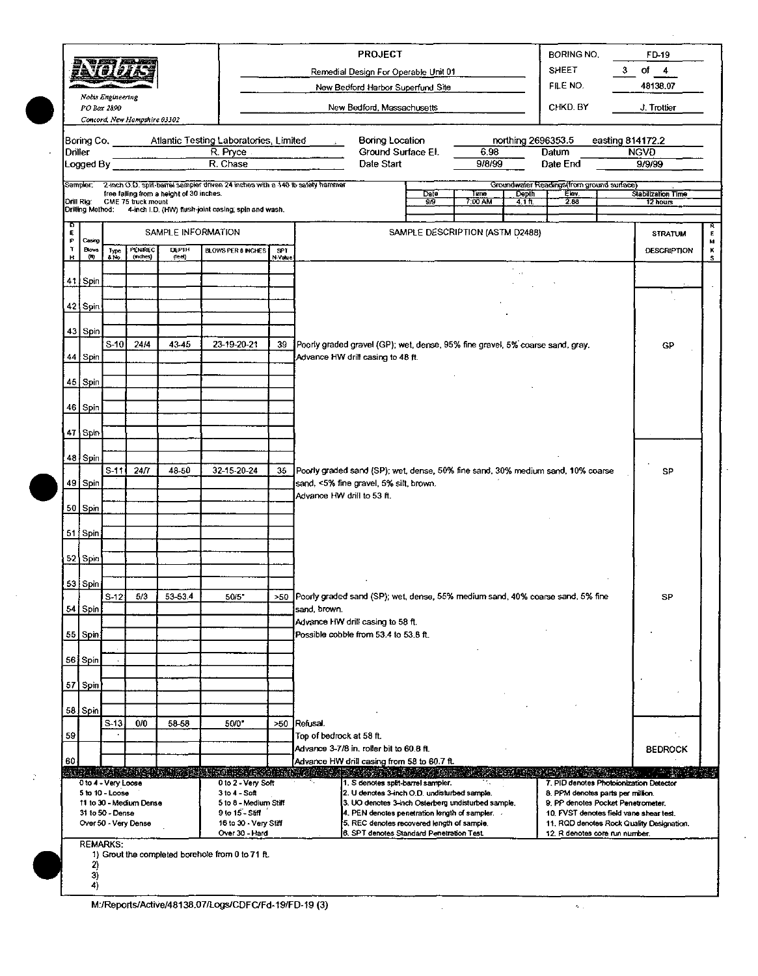|             |                     |                                        |                              |                                          |                                                                               | <b>PROJECT</b><br>BORING NO. |                                                                                                                                          |                                                                                                                    |                    |              |  |
|-------------|---------------------|----------------------------------------|------------------------------|------------------------------------------|-------------------------------------------------------------------------------|------------------------------|------------------------------------------------------------------------------------------------------------------------------------------|--------------------------------------------------------------------------------------------------------------------|--------------------|--------------|--|
|             |                     | تلكم جنمو<br>#av#j#                    |                              |                                          |                                                                               |                              | Remedial Design For Operable Unit 01                                                                                                     | <b>SHEET</b><br>3                                                                                                  | of 4               |              |  |
|             |                     | Noois Engineering                      |                              |                                          |                                                                               |                              | New Bedford Harbor Superfund Site                                                                                                        | FILE NO.                                                                                                           | 48138.07           |              |  |
|             | PO Box 2890         |                                        |                              |                                          |                                                                               |                              | New Bedford, Massachusetts                                                                                                               | CHKD. BY                                                                                                           | J. Trottier        |              |  |
|             |                     |                                        | Concord, New Hampshire 03302 |                                          |                                                                               |                              |                                                                                                                                          |                                                                                                                    |                    |              |  |
| Driller     |                     |                                        |                              |                                          | Boring Co. Atlantic Testing Laboratories, Limited<br>R. Pryce                 |                              | Boring Location<br>northing 2696353.5<br>Ground Surface El.<br>6.98                                                                      | easting 814172.2<br>Datum                                                                                          | <b>NGVD</b>        |              |  |
|             | Logged By           |                                        |                              |                                          | R. Chase                                                                      |                              | 9/8/99<br>Date Start                                                                                                                     | Date End                                                                                                           | 9/9/99             |              |  |
|             | Sampler:            |                                        |                              | free falling from a height of 30 inches. | 2-inch O.D. split-barrel sampler driven 24 inches with a 140 lb safety hammer |                              | <b>Date</b><br>Time<br>Depth                                                                                                             | Groundwater Readings (from ground surface)<br>Elev.                                                                | Stabilization Time |              |  |
|             | Drill Rig:          |                                        | CME 75 truck mount           |                                          | Drilling Method: 4-inch I.D. (HW) flush-joint casing; spin and wash.          |                              | 90.<br>7:00 AM<br>$4.1$ ft.                                                                                                              | 2.88                                                                                                               | 12 hours           |              |  |
| O<br>E<br>Р | Casing              |                                        |                              | SAMPLE INFORMATION                       |                                                                               |                              | SAMPLE DESCRIPTION (ASTM D2488)                                                                                                          |                                                                                                                    | <b>STRATUM</b>     | Е            |  |
| ĭ<br>н      | <b>Blows</b><br>(V) | Type<br>& No.                          | PENREC<br>(mattes)           | DEPTH<br>(leet)                          | <b>BLOWS PER 6 INCHES</b>                                                     | <b>SPT</b><br>N-Value        |                                                                                                                                          |                                                                                                                    | <b>DESCRIPTION</b> | M<br>ĸ<br>s. |  |
|             | 41 Spin             |                                        |                              |                                          |                                                                               |                              |                                                                                                                                          |                                                                                                                    |                    |              |  |
|             |                     |                                        |                              |                                          |                                                                               |                              |                                                                                                                                          |                                                                                                                    |                    |              |  |
|             | 421 Spin            |                                        |                              |                                          |                                                                               |                              |                                                                                                                                          |                                                                                                                    |                    |              |  |
|             | 43 Spin             |                                        |                              |                                          |                                                                               |                              |                                                                                                                                          |                                                                                                                    |                    |              |  |
|             | 44 Spin             | $S-10$                                 | 24/4                         | 43-45                                    | 23-19-20-21                                                                   | 39                           | Poorly graded gravel (GP); wet, dense, 95% fine gravel, 5% coarse sand, gray,<br>Advance HW drill casing to 48 ft.                       |                                                                                                                    | GP                 |              |  |
|             |                     |                                        |                              |                                          |                                                                               |                              |                                                                                                                                          |                                                                                                                    |                    |              |  |
|             | 45 Spin             |                                        |                              |                                          |                                                                               |                              |                                                                                                                                          |                                                                                                                    |                    |              |  |
|             | 46 Spin             |                                        |                              |                                          |                                                                               |                              |                                                                                                                                          |                                                                                                                    |                    |              |  |
|             | 47 Spin             |                                        |                              |                                          |                                                                               |                              |                                                                                                                                          |                                                                                                                    |                    |              |  |
|             | 48 Spin             |                                        |                              |                                          |                                                                               |                              |                                                                                                                                          |                                                                                                                    |                    |              |  |
|             |                     | $S-11$                                 | 24/7                         | 48-50                                    | 32-15-20-24                                                                   | 35                           | Poorly graded sand (SP); wet, dense, 50% fine sand, 30% medium sand, 10% coarse                                                          |                                                                                                                    | SP                 |              |  |
|             | 49 Spin             |                                        |                              |                                          |                                                                               |                              | sand, <5% fine gravel, 5% silt, brown.<br>Advance HW drill to 53 ft.                                                                     |                                                                                                                    |                    |              |  |
|             | 50 Spin             |                                        |                              |                                          |                                                                               |                              |                                                                                                                                          |                                                                                                                    |                    |              |  |
|             | 51 Spin             |                                        |                              |                                          |                                                                               |                              |                                                                                                                                          |                                                                                                                    |                    |              |  |
|             | 52 Spin             |                                        |                              |                                          |                                                                               |                              |                                                                                                                                          |                                                                                                                    |                    |              |  |
|             |                     |                                        |                              |                                          |                                                                               |                              |                                                                                                                                          |                                                                                                                    |                    |              |  |
|             | 53 Spin             | $S-12$                                 | 5/3                          | 53-53.4                                  | 50/5"                                                                         |                              | >50 Poorly graded sand (SP); wet, dense, 55% medium sand, 40% coarse sand, 5% fine                                                       |                                                                                                                    | SP                 |              |  |
|             | 54 Spin             |                                        |                              |                                          |                                                                               |                              | sand, brown.                                                                                                                             |                                                                                                                    |                    |              |  |
|             | 55 Spin             |                                        |                              |                                          |                                                                               |                              | Advance HW drill casing to 58 ft.<br>Possible cobble from 53.4 to 53.8 ft.                                                               |                                                                                                                    |                    |              |  |
|             | 56 Spin             |                                        |                              |                                          |                                                                               |                              |                                                                                                                                          |                                                                                                                    |                    |              |  |
|             |                     |                                        |                              |                                          |                                                                               |                              |                                                                                                                                          |                                                                                                                    |                    |              |  |
|             | 57 Spin             |                                        |                              |                                          |                                                                               |                              |                                                                                                                                          |                                                                                                                    |                    |              |  |
|             | 58 Spin             |                                        |                              |                                          |                                                                               |                              |                                                                                                                                          |                                                                                                                    |                    |              |  |
| 59          |                     | $S-13$                                 | 0/0                          | 58-58                                    | 50/0                                                                          | >50                          | Refusal.<br>Top of bedrock at 58 ft.                                                                                                     |                                                                                                                    |                    |              |  |
| 60          |                     |                                        |                              |                                          |                                                                               |                              | Advance 3-7/8 in, roller bit to 60.8 ft.                                                                                                 |                                                                                                                    | <b>BEDROCK</b>     |              |  |
|             |                     |                                        |                              |                                          | al ne na escritori                                                            |                              | Advance HW drill casing from 58 to 60.7 ft.                                                                                              |                                                                                                                    |                    |              |  |
|             |                     | 0 to 4 - Very Loose<br>5 to 10 - Loose | 11 to 30 - Medium Dense      |                                          | 0 to 2 - Very Soft<br>3 to 4 - Soft<br>5 to 8 - Medium Stiff                  |                              | 1. S denotes split-barrel sampler.<br>2. U denotes 3-inch O.D. undisturbed sample.<br>3. UO denotes 3-inch Osterberg undisturbed sample. | 7. PID denotes Photoionization Detector<br>8. PPM denotes parts per million.<br>9. PP denotes Pocket Penetrometer. |                    |              |  |
|             |                     | 31 to 50 - Dense                       | Over 50 - Very Dense         |                                          | 9 to 15 - Stiff<br>16 to 30 - Very Stiff                                      |                              | 4. PEN denotes penetration length of sampler. $\overline{\phantom{a}}$<br>5. REC denotes recovered length of sample.                     | 10. FVST denotes field vane shear test.<br>11, RQD denotes Rock Quality Designation.                               |                    |              |  |
|             |                     | <b>REMARKS:</b>                        |                              |                                          | Over 30 - Hard                                                                |                              | 6. SPT denotes Standard Penetration Test.                                                                                                | 12. R denotes core run number.                                                                                     |                    |              |  |
|             | 2)                  |                                        |                              |                                          | 1) Grout the completed borehole from 0 to 71 ft.                              |                              |                                                                                                                                          |                                                                                                                    |                    |              |  |
|             | 3)<br>4)            |                                        |                              |                                          |                                                                               |                              |                                                                                                                                          |                                                                                                                    |                    |              |  |
|             |                     |                                        |                              |                                          |                                                                               |                              |                                                                                                                                          |                                                                                                                    |                    |              |  |

M:/Reports/Active/48138.07/Logs/CDFC/Fd-19/FD-19 (3)

 $\frac{1}{2}$ 

 $\mathbf{z}_\mathrm{c}$ 

 $\cdot$ 

 $\ddot{\phantom{a}}$